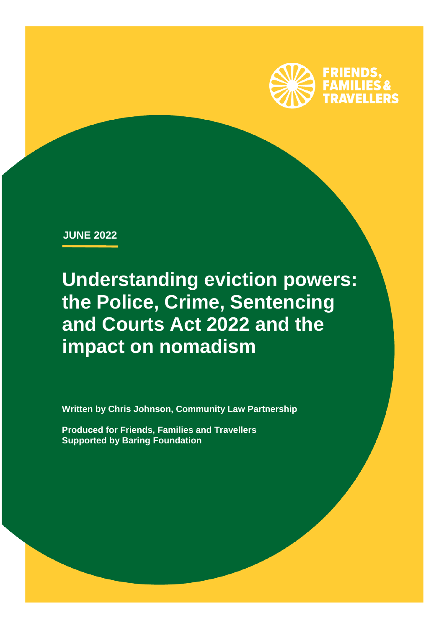

**JUNE 2022**

**Understanding eviction powers: the Police, Crime, Sentencing and Courts Act 2022 and the impact on nomadism**

**Written by Chris Johnson, Community Law Partnership**

**Produced for Friends, Families and Travellers Supported by Baring Foundation**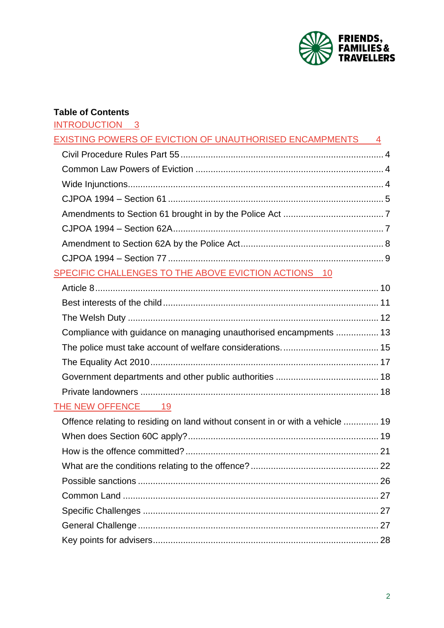

### **Table of Contents**

| <b>INTRODUCTION</b> |  |
|---------------------|--|
|---------------------|--|

| EXISTING POWERS OF EVICTION OF UNAUTHORISED ENCAMPMENTS 4                     |  |
|-------------------------------------------------------------------------------|--|
|                                                                               |  |
|                                                                               |  |
|                                                                               |  |
|                                                                               |  |
|                                                                               |  |
|                                                                               |  |
|                                                                               |  |
|                                                                               |  |
| SPECIFIC CHALLENGES TO THE ABOVE EVICTION ACTIONS 10                          |  |
|                                                                               |  |
|                                                                               |  |
|                                                                               |  |
| Compliance with guidance on managing unauthorised encampments  13             |  |
|                                                                               |  |
|                                                                               |  |
|                                                                               |  |
|                                                                               |  |
| THE NEW OFFENCE 19                                                            |  |
| Offence relating to residing on land without consent in or with a vehicle  19 |  |
|                                                                               |  |
|                                                                               |  |
|                                                                               |  |
|                                                                               |  |
|                                                                               |  |
|                                                                               |  |

General Challenge [................................................................................................](#page-26-2) 27

[Key points for advisers..........................................................................................](#page-27-0) 28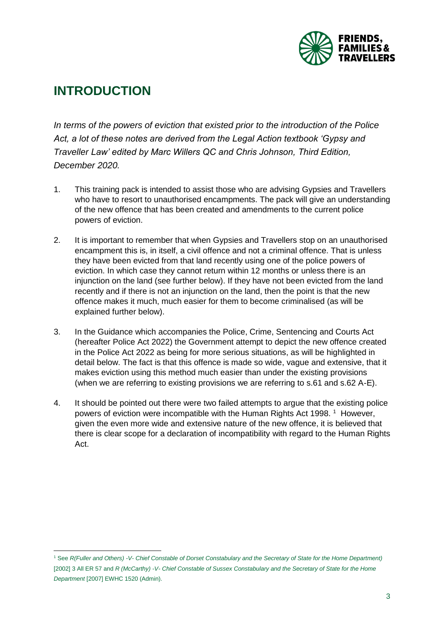

# <span id="page-2-0"></span>**INTRODUCTION**

*In terms of the powers of eviction that existed prior to the introduction of the Police Act, a lot of these notes are derived from the Legal Action textbook 'Gypsy and Traveller Law' edited by Marc Willers QC and Chris Johnson, Third Edition, December 2020.*

- 1. This training pack is intended to assist those who are advising Gypsies and Travellers who have to resort to unauthorised encampments. The pack will give an understanding of the new offence that has been created and amendments to the current police powers of eviction.
- 2. It is important to remember that when Gypsies and Travellers stop on an unauthorised encampment this is, in itself, a civil offence and not a criminal offence. That is unless they have been evicted from that land recently using one of the police powers of eviction. In which case they cannot return within 12 months or unless there is an injunction on the land (see further below). If they have not been evicted from the land recently and if there is not an injunction on the land, then the point is that the new offence makes it much, much easier for them to become criminalised (as will be explained further below).
- 3. In the Guidance which accompanies the Police, Crime, Sentencing and Courts Act (hereafter Police Act 2022) the Government attempt to depict the new offence created in the Police Act 2022 as being for more serious situations, as will be highlighted in detail below. The fact is that this offence is made so wide, vague and extensive, that it makes eviction using this method much easier than under the existing provisions (when we are referring to existing provisions we are referring to s.61 and s.62 A-E).
- 4. It should be pointed out there were two failed attempts to argue that the existing police powers of eviction were incompatible with the Human Rights Act 1998.<sup>1</sup> However, given the even more wide and extensive nature of the new offence, it is believed that there is clear scope for a declaration of incompatibility with regard to the Human Rights Act.

l <sup>1</sup> See *R(Fuller and Others) -V- Chief Constable of Dorset Constabulary and the Secretary of State for the Home Department)* [2002] 3 All ER 57 and *R (McCarthy) -V- Chief Constable of Sussex Constabulary and the Secretary of State for the Home Department* [2007] EWHC 1520 (Admin).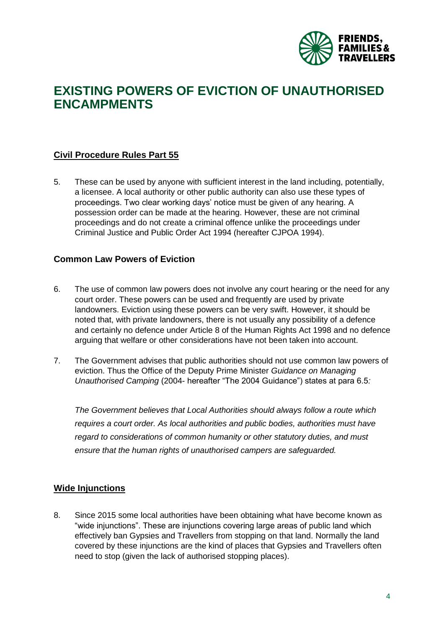<span id="page-3-2"></span>

## <span id="page-3-0"></span>**EXISTING POWERS OF EVICTION OF UNAUTHORISED ENCAMPMENTS**

#### <span id="page-3-1"></span>**Civil Procedure Rules Part 55**

5. These can be used by anyone with sufficient interest in the land including, potentially, a licensee. A local authority or other public authority can also use these types of proceedings. Two clear working days' notice must be given of any hearing. A possession order can be made at the hearing. However, these are not criminal proceedings and do not create a criminal offence unlike the proceedings under Criminal Justice and Public Order Act 1994 (hereafter CJPOA 1994).

#### **Common Law Powers of Eviction**

- 6. The use of common law powers does not involve any court hearing or the need for any court order. These powers can be used and frequently are used by private landowners. Eviction using these powers can be very swift. However, it should be noted that, with private landowners, there is not usually any possibility of a defence and certainly no defence under Article 8 of the Human Rights Act 1998 and no defence arguing that welfare or other considerations have not been taken into account.
- 7. The Government advises that public authorities should not use common law powers of eviction. Thus the Office of the Deputy Prime Minister *Guidance on Managing Unauthorised Camping* (2004- hereafter "The 2004 Guidance") states at para 6.5*:*

*The Government believes that Local Authorities should always follow a route which requires a court order. As local authorities and public bodies, authorities must have regard to considerations of common humanity or other statutory duties, and must ensure that the human rights of unauthorised campers are safeguarded.*

#### <span id="page-3-3"></span>**Wide Injunctions**

8. Since 2015 some local authorities have been obtaining what have become known as "wide injunctions". These are injunctions covering large areas of public land which effectively ban Gypsies and Travellers from stopping on that land. Normally the land covered by these injunctions are the kind of places that Gypsies and Travellers often need to stop (given the lack of authorised stopping places).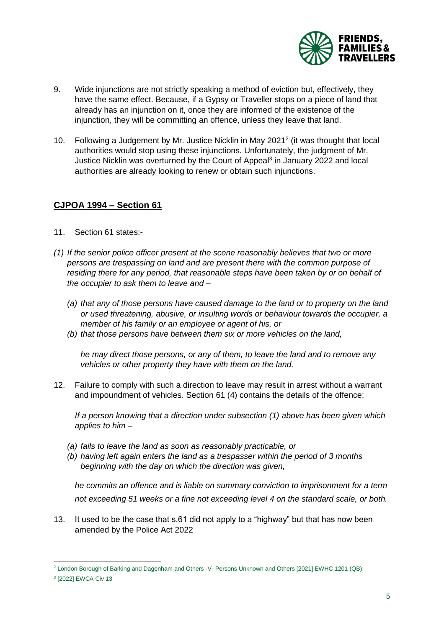

- 9. Wide injunctions are not strictly speaking a method of eviction but, effectively, they have the same effect. Because, if a Gypsy or Traveller stops on a piece of land that already has an injunction on it, once they are informed of the existence of the injunction, they will be committing an offence, unless they leave that land.
- 10. Following a Judgement by Mr. Justice Nicklin in May 2021<sup>2</sup> (it was thought that local authorities would stop using these injunctions. Unfortunately, the judgment of Mr. Justice Nicklin was overturned by the Court of Appeal<sup>3</sup> in January 2022 and local authorities are already looking to renew or obtain such injunctions.

#### <span id="page-4-0"></span>**CJPOA 1994 – Section 61**

- 11. Section 61 states:-
- *(1) If the senior police officer present at the scene reasonably believes that two or more persons are trespassing on land and are present there with the common purpose of residing there for any period, that reasonable steps have been taken by or on behalf of the occupier to ask them to leave and –*
	- *(a) that any of those persons have caused damage to the land or to property on the land or used threatening, abusive, or insulting words or behaviour towards the occupier, a member of his family or an employee or agent of his, or*
	- *(b) that those persons have between them six or more vehicles on the land,*

*he may direct those persons, or any of them, to leave the land and to remove any vehicles or other property they have with them on the land.*

12. Failure to comply with such a direction to leave may result in arrest without a warrant and impoundment of vehicles. Section 61 (4) contains the details of the offence:

*If a person knowing that a direction under subsection (1) above has been given which applies to him –*

- *(a) fails to leave the land as soon as reasonably practicable, or*
- *(b) having left again enters the land as a trespasser within the period of 3 months beginning with the day on which the direction was given,*

*he commits an offence and is liable on summary conviction to imprisonment for a term not exceeding 51 weeks or a fine not exceeding level 4 on the standard scale, or both.*

13. It used to be the case that s.61 did not apply to a "highway" but that has now been amended by the Police Act 2022

l

<sup>2</sup> London Borough of Barking and Dagenham and Others -V- Persons Unknown and Others [2021] EWHC 1201 (QB)

<sup>3</sup> [2022] EWCA Civ 13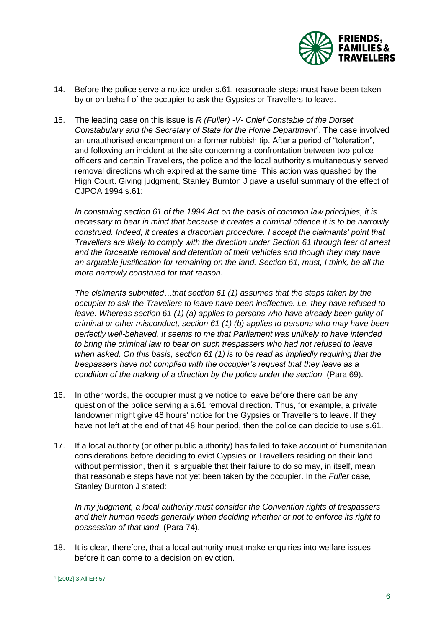

- 14. Before the police serve a notice under s.61, reasonable steps must have been taken by or on behalf of the occupier to ask the Gypsies or Travellers to leave.
- 15. The leading case on this issue is *R (Fuller) -V- Chief Constable of the Dorset*  Constabulary and the Secretary of State for the Home Department<sup>4</sup>. The case involved an unauthorised encampment on a former rubbish tip. After a period of "toleration", and following an incident at the site concerning a confrontation between two police officers and certain Travellers, the police and the local authority simultaneously served removal directions which expired at the same time. This action was quashed by the High Court. Giving judgment, Stanley Burnton J gave a useful summary of the effect of CJPOA 1994 s.61:

*In construing section 61 of the 1994 Act on the basis of common law principles, it is necessary to bear in mind that because it creates a criminal offence it is to be narrowly construed. Indeed, it creates a draconian procedure. I accept the claimants' point that Travellers are likely to comply with the direction under Section 61 through fear of arrest and the forceable removal and detention of their vehicles and though they may have an arguable justification for remaining on the land. Section 61, must, I think, be all the more narrowly construed for that reason.* 

*The claimants submitted…that section 61 (1) assumes that the steps taken by the occupier to ask the Travellers to leave have been ineffective. i.e. they have refused to leave. Whereas section 61 (1) (a) applies to persons who have already been guilty of criminal or other misconduct, section 61 (1) (b) applies to persons who may have been perfectly well-behaved. It seems to me that Parliament was unlikely to have intended to bring the criminal law to bear on such trespassers who had not refused to leave when asked. On this basis, section 61 (1) is to be read as impliedly requiring that the trespassers have not complied with the occupier's request that they leave as a condition of the making of a direction by the police under the section (Para 69).* 

- 16. In other words, the occupier must give notice to leave before there can be any question of the police serving a s.61 removal direction. Thus, for example, a private landowner might give 48 hours' notice for the Gypsies or Travellers to leave. If they have not left at the end of that 48 hour period, then the police can decide to use s.61.
- 17. If a local authority (or other public authority) has failed to take account of humanitarian considerations before deciding to evict Gypsies or Travellers residing on their land without permission, then it is arguable that their failure to do so may, in itself, mean that reasonable steps have not yet been taken by the occupier. In the *Fuller* case, Stanley Burnton J stated:

*In my judgment, a local authority must consider the Convention rights of trespassers and their human needs generally when deciding whether or not to enforce its right to possession of that land* (Para 74).

18. It is clear, therefore, that a local authority must make enquiries into welfare issues before it can come to a decision on eviction.

 4 [2002] 3 All ER 57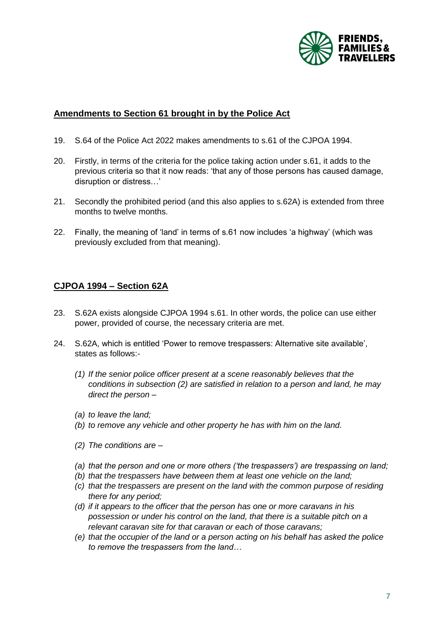

#### <span id="page-6-0"></span>**Amendments to Section 61 brought in by the Police Act**

- 19. S.64 of the Police Act 2022 makes amendments to s.61 of the CJPOA 1994.
- 20. Firstly, in terms of the criteria for the police taking action under s.61, it adds to the previous criteria so that it now reads: 'that any of those persons has caused damage, disruption or distress…'
- 21. Secondly the prohibited period (and this also applies to s.62A) is extended from three months to twelve months.
- 22. Finally, the meaning of 'land' in terms of s.61 now includes 'a highway' (which was previously excluded from that meaning).

#### <span id="page-6-1"></span>**CJPOA 1994 – Section 62A**

- 23. S.62A exists alongside CJPOA 1994 s.61. In other words, the police can use either power, provided of course, the necessary criteria are met.
- 24. S.62A, which is entitled 'Power to remove trespassers: Alternative site available', states as follows:-
	- *(1) If the senior police officer present at a scene reasonably believes that the conditions in subsection (2) are satisfied in relation to a person and land, he may direct the person –*
	- *(a) to leave the land;*
	- *(b) to remove any vehicle and other property he has with him on the land.*
	- *(2) The conditions are –*
	- *(a) that the person and one or more others ('the trespassers') are trespassing on land;*
	- *(b) that the trespassers have between them at least one vehicle on the land;*
	- *(c) that the trespassers are present on the land with the common purpose of residing there for any period;*
	- *(d) if it appears to the officer that the person has one or more caravans in his possession or under his control on the land, that there is a suitable pitch on a relevant caravan site for that caravan or each of those caravans;*
	- *(e) that the occupier of the land or a person acting on his behalf has asked the police to remove the trespassers from the land…*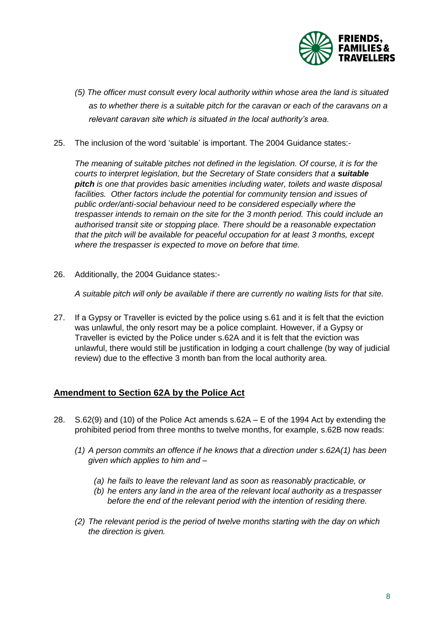

- *(5) The officer must consult every local authority within whose area the land is situated as to whether there is a suitable pitch for the caravan or each of the caravans on a relevant caravan site which is situated in the local authority's area.*
- 25. The inclusion of the word 'suitable' is important. The 2004 Guidance states:-

*The meaning of suitable pitches not defined in the legislation. Of course, it is for the courts to interpret legislation, but the Secretary of State considers that a suitable pitch is one that provides basic amenities including water, toilets and waste disposal*  facilities. Other factors include the potential for community tension and issues of *public order/anti-social behaviour need to be considered especially where the trespasser intends to remain on the site for the 3 month period. This could include an authorised transit site or stopping place. There should be a reasonable expectation that the pitch will be available for peaceful occupation for at least 3 months, except where the trespasser is expected to move on before that time.*

26. Additionally, the 2004 Guidance states:-

*A suitable pitch will only be available if there are currently no waiting lists for that site.*

27. If a Gypsy or Traveller is evicted by the police using s.61 and it is felt that the eviction was unlawful, the only resort may be a police complaint. However, if a Gypsy or Traveller is evicted by the Police under s.62A and it is felt that the eviction was unlawful, there would still be justification in lodging a court challenge (by way of judicial review) due to the effective 3 month ban from the local authority area.

#### <span id="page-7-0"></span>**Amendment to Section 62A by the Police Act**

- 28. S.62(9) and (10) of the Police Act amends s.62A E of the 1994 Act by extending the prohibited period from three months to twelve months, for example, s.62B now reads:
	- *(1) A person commits an offence if he knows that a direction under s.62A(1) has been given which applies to him and –*
		- *(a) he fails to leave the relevant land as soon as reasonably practicable, or*
		- *(b) he enters any land in the area of the relevant local authority as a trespasser before the end of the relevant period with the intention of residing there.*
	- *(2) The relevant period is the period of twelve months starting with the day on which the direction is given.*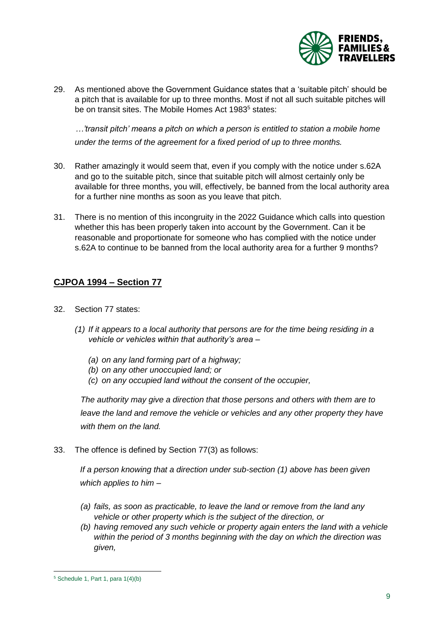

29. As mentioned above the Government Guidance states that a 'suitable pitch' should be a pitch that is available for up to three months. Most if not all such suitable pitches will be on transit sites. The Mobile Homes Act 1983<sup>5</sup> states:

*…'transit pitch' means a pitch on which a person is entitled to station a mobile home under the terms of the agreement for a fixed period of up to three months.*

- 30. Rather amazingly it would seem that, even if you comply with the notice under s.62A and go to the suitable pitch, since that suitable pitch will almost certainly only be available for three months, you will, effectively, be banned from the local authority area for a further nine months as soon as you leave that pitch.
- 31. There is no mention of this incongruity in the 2022 Guidance which calls into question whether this has been properly taken into account by the Government. Can it be reasonable and proportionate for someone who has complied with the notice under s.62A to continue to be banned from the local authority area for a further 9 months?

#### <span id="page-8-0"></span>**CJPOA 1994 – Section 77**

- 32. Section 77 states:
	- *(1) If it appears to a local authority that persons are for the time being residing in a vehicle or vehicles within that authority's area –*
		- *(a) on any land forming part of a highway;*
		- *(b) on any other unoccupied land; or*
		- *(c) on any occupied land without the consent of the occupier,*

*The authority may give a direction that those persons and others with them are to leave the land and remove the vehicle or vehicles and any other property they have with them on the land.*

33. The offence is defined by Section 77(3) as follows:

*If a person knowing that a direction under sub-section (1) above has been given which applies to him –*

- *(a) fails, as soon as practicable, to leave the land or remove from the land any vehicle or other property which is the subject of the direction, or*
- *(b) having removed any such vehicle or property again enters the land with a vehicle within the period of 3 months beginning with the day on which the direction was given,*

l

 $5$  Schedule 1, Part 1, para 1(4)(b)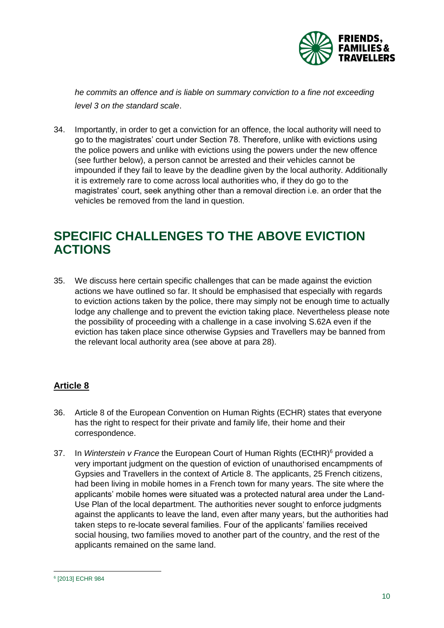

*he commits an offence and is liable on summary conviction to a fine not exceeding level 3 on the standard scale*.

34. Importantly, in order to get a conviction for an offence, the local authority will need to go to the magistrates' court under Section 78. Therefore, unlike with evictions using the police powers and unlike with evictions using the powers under the new offence (see further below), a person cannot be arrested and their vehicles cannot be impounded if they fail to leave by the deadline given by the local authority. Additionally it is extremely rare to come across local authorities who, if they do go to the magistrates' court, seek anything other than a removal direction i.e. an order that the vehicles be removed from the land in question.

## <span id="page-9-0"></span>**SPECIFIC CHALLENGES TO THE ABOVE EVICTION ACTIONS**

35. We discuss here certain specific challenges that can be made against the eviction actions we have outlined so far. It should be emphasised that especially with regards to eviction actions taken by the police, there may simply not be enough time to actually lodge any challenge and to prevent the eviction taking place. Nevertheless please note the possibility of proceeding with a challenge in a case involving S.62A even if the eviction has taken place since otherwise Gypsies and Travellers may be banned from the relevant local authority area (see above at para 28).

#### <span id="page-9-1"></span>**Article 8**

- 36. Article 8 of the European Convention on Human Rights (ECHR) states that everyone has the right to respect for their private and family life, their home and their correspondence.
- 37. In *Winterstein v France* the European Court of Human Rights (ECtHR)<sup>6</sup> provided a very important judgment on the question of eviction of unauthorised encampments of Gypsies and Travellers in the context of Article 8. The applicants, 25 French citizens, had been living in mobile homes in a French town for many years. The site where the applicants' mobile homes were situated was a protected natural area under the Land-Use Plan of the local department. The authorities never sought to enforce judgments against the applicants to leave the land, even after many years, but the authorities had taken steps to re-locate several families. Four of the applicants' families received social housing, two families moved to another part of the country, and the rest of the applicants remained on the same land.

<sup>–&</sup>lt;br><sup>6</sup> [2013] ECHR 984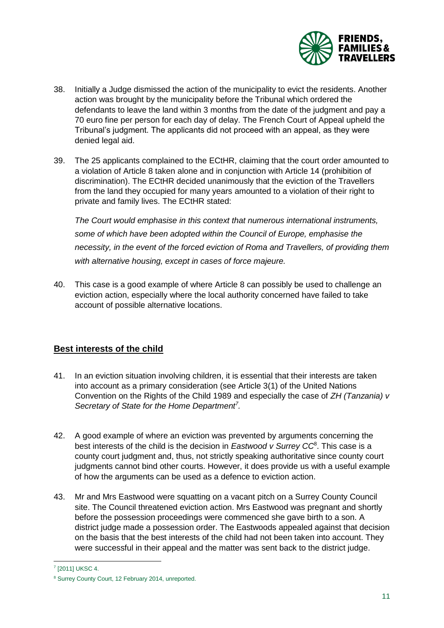

- 38. Initially a Judge dismissed the action of the municipality to evict the residents. Another action was brought by the municipality before the Tribunal which ordered the defendants to leave the land within 3 months from the date of the judgment and pay a 70 euro fine per person for each day of delay. The French Court of Appeal upheld the Tribunal's judgment. The applicants did not proceed with an appeal, as they were denied legal aid.
- 39. The 25 applicants complained to the ECtHR, claiming that the court order amounted to a violation of Article 8 taken alone and in conjunction with Article 14 (prohibition of discrimination). The ECtHR decided unanimously that the eviction of the Travellers from the land they occupied for many years amounted to a violation of their right to private and family lives. The ECtHR stated:

*The Court would emphasise in this context that numerous international instruments, some of which have been adopted within the Council of Europe, emphasise the necessity, in the event of the forced eviction of Roma and Travellers, of providing them with alternative housing, except in cases of force majeure.* 

40. This case is a good example of where Article 8 can possibly be used to challenge an eviction action, especially where the local authority concerned have failed to take account of possible alternative locations.

#### <span id="page-10-0"></span>**Best interests of the child**

- 41. In an eviction situation involving children, it is essential that their interests are taken into account as a primary consideration (see Article 3(1) of the United Nations Convention on the Rights of the Child 1989 and especially the case of *ZH (Tanzania) v Secretary of State for the Home Department<sup>7</sup> .*
- 42. A good example of where an eviction was prevented by arguments concerning the best interests of the child is the decision in *Eastwood v Surrey CC*<sup>8</sup> . This case is a county court judgment and, thus, not strictly speaking authoritative since county court judgments cannot bind other courts. However, it does provide us with a useful example of how the arguments can be used as a defence to eviction action.
- 43. Mr and Mrs Eastwood were squatting on a vacant pitch on a Surrey County Council site. The Council threatened eviction action. Mrs Eastwood was pregnant and shortly before the possession proceedings were commenced she gave birth to a son. A district judge made a possession order. The Eastwoods appealed against that decision on the basis that the best interests of the child had not been taken into account. They were successful in their appeal and the matter was sent back to the district judge.

l 7 [2011] UKSC 4.

<sup>8</sup> Surrey County Court, 12 February 2014, unreported.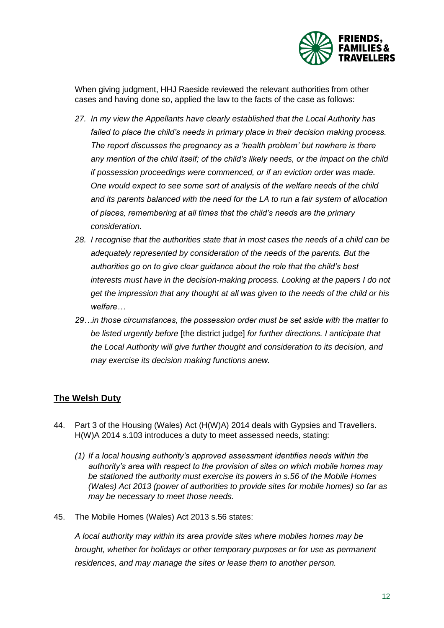

When giving judgment, HHJ Raeside reviewed the relevant authorities from other cases and having done so, applied the law to the facts of the case as follows:

- *27. In my view the Appellants have clearly established that the Local Authority has failed to place the child's needs in primary place in their decision making process. The report discusses the pregnancy as a 'health problem' but nowhere is there any mention of the child itself; of the child's likely needs, or the impact on the child if possession proceedings were commenced, or if an eviction order was made. One would expect to see some sort of analysis of the welfare needs of the child and its parents balanced with the need for the LA to run a fair system of allocation of places, remembering at all times that the child's needs are the primary consideration.*
- *28. I recognise that the authorities state that in most cases the needs of a child can be adequately represented by consideration of the needs of the parents. But the authorities go on to give clear guidance about the role that the child's best interests must have in the decision-making process. Looking at the papers I do not get the impression that any thought at all was given to the needs of the child or his welfare…*
- *29…in those circumstances, the possession order must be set aside with the matter to be listed urgently before* [the district judge] *for further directions. I anticipate that the Local Authority will give further thought and consideration to its decision, and may exercise its decision making functions anew.*

#### <span id="page-11-0"></span>**The Welsh Duty**

- 44. Part 3 of the Housing (Wales) Act (H(W)A) 2014 deals with Gypsies and Travellers. H(W)A 2014 s.103 introduces a duty to meet assessed needs, stating:
	- *(1) If a local housing authority's approved assessment identifies needs within the authority's area with respect to the provision of sites on which mobile homes may be stationed the authority must exercise its powers in s.56 of the Mobile Homes (Wales) Act 2013 (power of authorities to provide sites for mobile homes) so far as may be necessary to meet those needs.*
- 45. The Mobile Homes (Wales) Act 2013 s.56 states:

*A local authority may within its area provide sites where mobiles homes may be brought, whether for holidays or other temporary purposes or for use as permanent residences, and may manage the sites or lease them to another person.*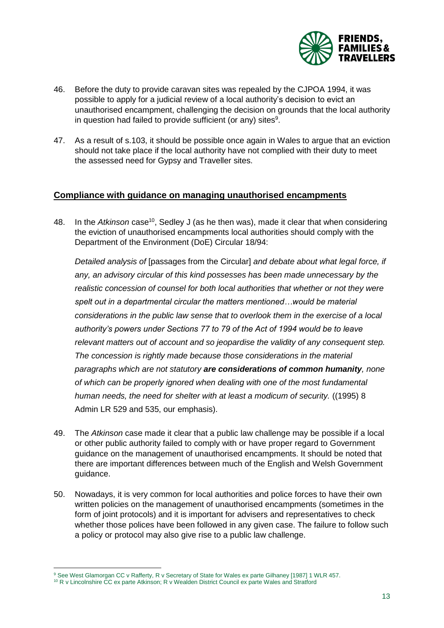

- 46. Before the duty to provide caravan sites was repealed by the CJPOA 1994, it was possible to apply for a judicial review of a local authority's decision to evict an unauthorised encampment, challenging the decision on grounds that the local authority in question had failed to provide sufficient (or any) sites $9$ .
- 47. As a result of s.103, it should be possible once again in Wales to argue that an eviction should not take place if the local authority have not complied with their duty to meet the assessed need for Gypsy and Traveller sites.

#### <span id="page-12-0"></span>**Compliance with guidance on managing unauthorised encampments**

48. In the *Atkinson* case<sup>10</sup>, Sedley J (as he then was), made it clear that when considering the eviction of unauthorised encampments local authorities should comply with the Department of the Environment (DoE) Circular 18/94:

*Detailed analysis of* [passages from the Circular] *and debate about what legal force, if any, an advisory circular of this kind possesses has been made unnecessary by the realistic concession of counsel for both local authorities that whether or not they were spelt out in a departmental circular the matters mentioned…would be material considerations in the public law sense that to overlook them in the exercise of a local authority's powers under Sections 77 to 79 of the Act of 1994 would be to leave relevant matters out of account and so jeopardise the validity of any consequent step. The concession is rightly made because those considerations in the material paragraphs which are not statutory are considerations of common humanity, none of which can be properly ignored when dealing with one of the most fundamental human needs, the need for shelter with at least a modicum of security.* ((1995) 8 Admin LR 529 and 535, our emphasis).

- 49. The *Atkinson* case made it clear that a public law challenge may be possible if a local or other public authority failed to comply with or have proper regard to Government guidance on the management of unauthorised encampments. It should be noted that there are important differences between much of the English and Welsh Government guidance.
- 50. Nowadays, it is very common for local authorities and police forces to have their own written policies on the management of unauthorised encampments (sometimes in the form of joint protocols) and it is important for advisers and representatives to check whether those polices have been followed in any given case. The failure to follow such a policy or protocol may also give rise to a public law challenge.

 $\overline{a}$ 

<sup>&</sup>lt;sup>9</sup> See West Glamorgan CC v Rafferty, R v Secretary of State for Wales ex parte Gilhaney [1987] 1 WLR 457.

<sup>&</sup>lt;sup>10</sup> R v Lincolnshire CC ex parte Atkinson; R v Wealden District Council ex parte Wales and Stratford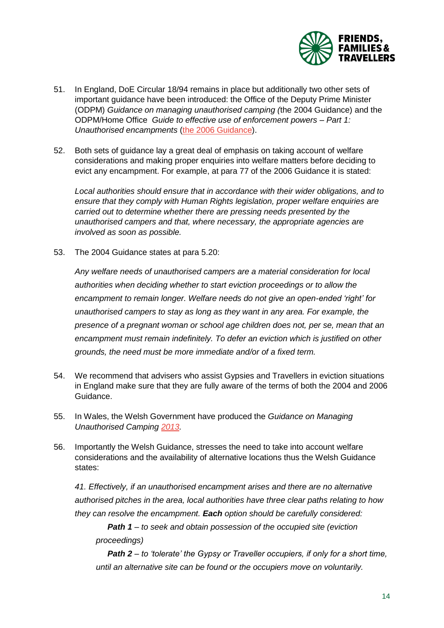

- 51. In England, DoE Circular 18/94 remains in place but additionally two other sets of important guidance have been introduced: the Office of the Deputy Prime Minister (ODPM) *Guidance on managing unauthorised camping (*the 2004 Guidance) and the ODPM/Home Office *Guide to effective use of enforcement powers – Part 1: Unauthorised encampments* [\(the 2006 Guidance\)](https://assets.publishing.service.gov.uk/government/uploads/system/uploads/attachment_data/file/7837/143582.pdf).
- 52. Both sets of guidance lay a great deal of emphasis on taking account of welfare considerations and making proper enquiries into welfare matters before deciding to evict any encampment. For example, at para 77 of the 2006 Guidance it is stated:

*Local authorities should ensure that in accordance with their wider obligations, and to ensure that they comply with Human Rights legislation, proper welfare enquiries are carried out to determine whether there are pressing needs presented by the unauthorised campers and that, where necessary, the appropriate agencies are involved as soon as possible.* 

53. The 2004 Guidance states at para 5.20:

*Any welfare needs of unauthorised campers are a material consideration for local authorities when deciding whether to start eviction proceedings or to allow the encampment to remain longer. Welfare needs do not give an open-ended 'right' for unauthorised campers to stay as long as they want in any area. For example, the presence of a pregnant woman or school age children does not, per se, mean that an encampment must remain indefinitely. To defer an eviction which is justified on other grounds, the need must be more immediate and/or of a fixed term.*

- 54. We recommend that advisers who assist Gypsies and Travellers in eviction situations in England make sure that they are fully aware of the terms of both the 2004 and 2006 Guidance.
- 55. In Wales, the Welsh Government have produced the *Guidance on Managing Unauthorised Camping [2013.](https://gov.wales/sites/default/files/publications/2019-03/guidance-on-managing-unauthorised-camping-2013.pdf)*
- 56. Importantly the Welsh Guidance, stresses the need to take into account welfare considerations and the availability of alternative locations thus the Welsh Guidance states:

*41. Effectively, if an unauthorised encampment arises and there are no alternative authorised pitches in the area, local authorities have three clear paths relating to how they can resolve the encampment. Each option should be carefully considered:* 

*Path 1 – to seek and obtain possession of the occupied site (eviction proceedings)*

*Path 2 – to 'tolerate' the Gypsy or Traveller occupiers, if only for a short time, until an alternative site can be found or the occupiers move on voluntarily.*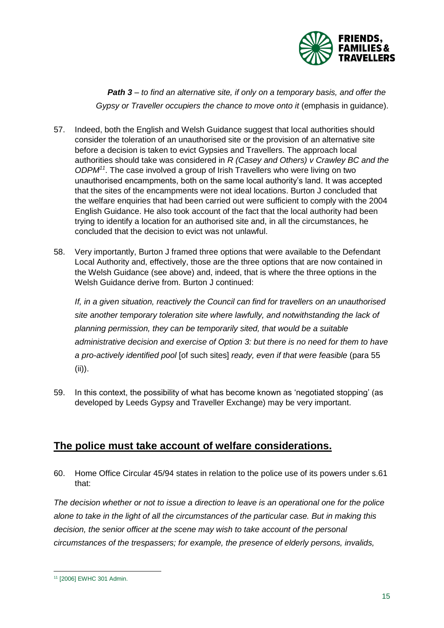

**Path 3** – to find an alternative site, if only on a temporary basis, and offer the *Gypsy or Traveller occupiers the chance to move onto it (emphasis in quidance).* 

- 57. Indeed, both the English and Welsh Guidance suggest that local authorities should consider the toleration of an unauthorised site or the provision of an alternative site before a decision is taken to evict Gypsies and Travellers. The approach local authorities should take was considered in *R (Casey and Others) v Crawley BC and the ODPM<sup>11</sup>*. The case involved a group of Irish Travellers who were living on two unauthorised encampments, both on the same local authority's land. It was accepted that the sites of the encampments were not ideal locations. Burton J concluded that the welfare enquiries that had been carried out were sufficient to comply with the 2004 English Guidance. He also took account of the fact that the local authority had been trying to identify a location for an authorised site and, in all the circumstances, he concluded that the decision to evict was not unlawful.
- 58. Very importantly, Burton J framed three options that were available to the Defendant Local Authority and, effectively, those are the three options that are now contained in the Welsh Guidance (see above) and, indeed, that is where the three options in the Welsh Guidance derive from. Burton J continued:

*If, in a given situation, reactively the Council can find for travellers on an unauthorised site another temporary toleration site where lawfully, and notwithstanding the lack of planning permission, they can be temporarily sited, that would be a suitable administrative decision and exercise of Option 3: but there is no need for them to have a pro-actively identified pool* [of such sites] *ready, even if that were feasible* (para 55 (ii)).

59. In this context, the possibility of what has become known as 'negotiated stopping' (as developed by Leeds Gypsy and Traveller Exchange) may be very important.

### <span id="page-14-0"></span>**The police must take account of welfare considerations.**

60. Home Office Circular 45/94 states in relation to the police use of its powers under s.61 that:

*The decision whether or not to issue a direction to leave is an operational one for the police alone to take in the light of all the circumstances of the particular case. But in making this decision, the senior officer at the scene may wish to take account of the personal circumstances of the trespassers; for example, the presence of elderly persons, invalids,* 

l <sup>11</sup> [2006] EWHC 301 Admin.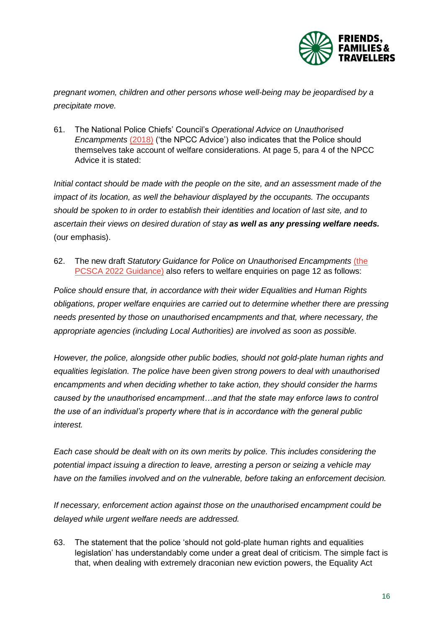

*pregnant women, children and other persons whose well-being may be jeopardised by a precipitate move.* 

61. The National Police Chiefs' Council's *Operational Advice on Unauthorised Encampments* [\(2018\)](https://www.npcc.police.uk/documents/Unauthorised%20Encampments/NPCC%20Op%20Advice%20on%20Unauthorised%20Encampments_June%2018.pdf) ('the NPCC Advice') also indicates that the Police should themselves take account of welfare considerations. At page 5, para 4 of the NPCC Advice it is stated:

*Initial contact should be made with the people on the site, and an assessment made of the impact of its location, as well the behaviour displayed by the occupants. The occupants should be spoken to in order to establish their identities and location of last site, and to ascertain their views on desired duration of stay as well as any pressing welfare needs.*  (our emphasis).

62. The new draft *Statutory Guidance for Police on Unauthorised Encampments* [\(the](https://www.gov.uk/government/publications/police-crime-sentencing-and-courts-bill-2021-draft-guidance/statutory-guidance-for-police-on-unauthorised-encampments-draft-guidance-accessible-version)  [PCSCA 2022 Guidance\)](https://www.gov.uk/government/publications/police-crime-sentencing-and-courts-bill-2021-draft-guidance/statutory-guidance-for-police-on-unauthorised-encampments-draft-guidance-accessible-version) also refers to welfare enquiries on page 12 as follows:

*Police should ensure that, in accordance with their wider Equalities and Human Rights obligations, proper welfare enquiries are carried out to determine whether there are pressing needs presented by those on unauthorised encampments and that, where necessary, the appropriate agencies (including Local Authorities) are involved as soon as possible.* 

*However, the police, alongside other public bodies, should not gold-plate human rights and equalities legislation. The police have been given strong powers to deal with unauthorised encampments and when deciding whether to take action, they should consider the harms caused by the unauthorised encampment…and that the state may enforce laws to control the use of an individual's property where that is in accordance with the general public interest.*

*Each case should be dealt with on its own merits by police. This includes considering the potential impact issuing a direction to leave, arresting a person or seizing a vehicle may have on the families involved and on the vulnerable, before taking an enforcement decision.*

*If necessary, enforcement action against those on the unauthorised encampment could be delayed while urgent welfare needs are addressed.*

63. The statement that the police 'should not gold-plate human rights and equalities legislation' has understandably come under a great deal of criticism. The simple fact is that, when dealing with extremely draconian new eviction powers, the Equality Act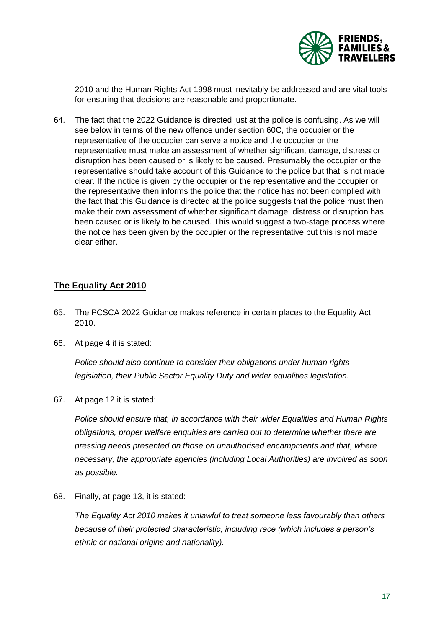

2010 and the Human Rights Act 1998 must inevitably be addressed and are vital tools for ensuring that decisions are reasonable and proportionate.

64. The fact that the 2022 Guidance is directed just at the police is confusing. As we will see below in terms of the new offence under section 60C, the occupier or the representative of the occupier can serve a notice and the occupier or the representative must make an assessment of whether significant damage, distress or disruption has been caused or is likely to be caused. Presumably the occupier or the representative should take account of this Guidance to the police but that is not made clear. If the notice is given by the occupier or the representative and the occupier or the representative then informs the police that the notice has not been complied with, the fact that this Guidance is directed at the police suggests that the police must then make their own assessment of whether significant damage, distress or disruption has been caused or is likely to be caused. This would suggest a two-stage process where the notice has been given by the occupier or the representative but this is not made clear either.

#### <span id="page-16-0"></span>**The Equality Act 2010**

- 65. The PCSCA 2022 Guidance makes reference in certain places to the Equality Act 2010.
- 66. At page 4 it is stated:

*Police should also continue to consider their obligations under human rights legislation, their Public Sector Equality Duty and wider equalities legislation.* 

67. At page 12 it is stated:

*Police should ensure that, in accordance with their wider Equalities and Human Rights obligations, proper welfare enquiries are carried out to determine whether there are pressing needs presented on those on unauthorised encampments and that, where necessary, the appropriate agencies (including Local Authorities) are involved as soon as possible.* 

68. Finally, at page 13, it is stated:

*The Equality Act 2010 makes it unlawful to treat someone less favourably than others because of their protected characteristic, including race (which includes a person's ethnic or national origins and nationality).*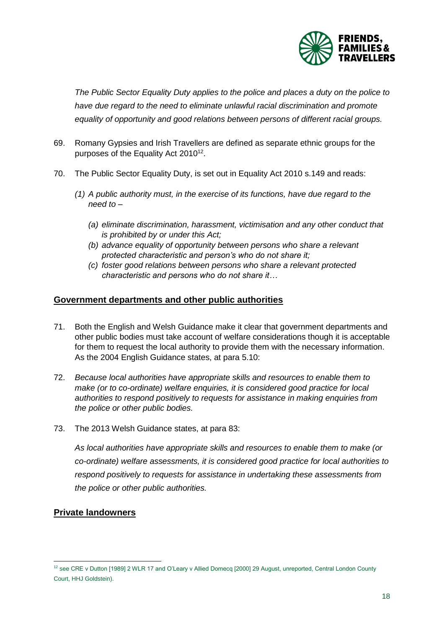

*The Public Sector Equality Duty applies to the police and places a duty on the police to have due regard to the need to eliminate unlawful racial discrimination and promote equality of opportunity and good relations between persons of different racial groups.*

- 69. Romany Gypsies and Irish Travellers are defined as separate ethnic groups for the purposes of the Equality Act 2010<sup>12</sup>.
- 70. The Public Sector Equality Duty, is set out in Equality Act 2010 s.149 and reads:
	- *(1) A public authority must, in the exercise of its functions, have due regard to the need to –*
		- *(a) eliminate discrimination, harassment, victimisation and any other conduct that is prohibited by or under this Act;*
		- *(b) advance equality of opportunity between persons who share a relevant protected characteristic and person's who do not share it;*
		- *(c) foster good relations between persons who share a relevant protected characteristic and persons who do not share it…*

#### <span id="page-17-0"></span>**Government departments and other public authorities**

- 71. Both the English and Welsh Guidance make it clear that government departments and other public bodies must take account of welfare considerations though it is acceptable for them to request the local authority to provide them with the necessary information. As the 2004 English Guidance states, at para 5.10:
- 72. *Because local authorities have appropriate skills and resources to enable them to make (or to co-ordinate) welfare enquiries, it is considered good practice for local authorities to respond positively to requests for assistance in making enquiries from the police or other public bodies.*
- 73. The 2013 Welsh Guidance states, at para 83:

*As local authorities have appropriate skills and resources to enable them to make (or co-ordinate) welfare assessments, it is considered good practice for local authorities to respond positively to requests for assistance in undertaking these assessments from the police or other public authorities.* 

#### <span id="page-17-1"></span>**Private landowners**

l

<sup>&</sup>lt;sup>12</sup> see CRE v Dutton [1989] 2 WLR 17 and O'Leary v Allied Domecq [2000] 29 August, unreported, Central London County Court, HHJ Goldstein).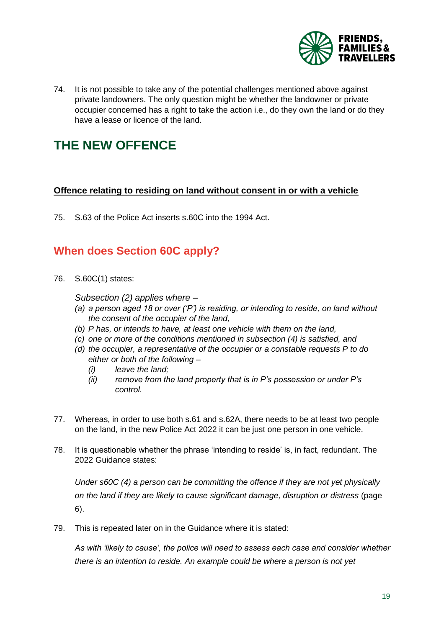

74. It is not possible to take any of the potential challenges mentioned above against private landowners. The only question might be whether the landowner or private occupier concerned has a right to take the action i.e., do they own the land or do they have a lease or licence of the land.

# <span id="page-18-0"></span>**THE NEW OFFENCE**

#### <span id="page-18-1"></span>**Offence relating to residing on land without consent in or with a vehicle**

75. S.63 of the Police Act inserts s.60C into the 1994 Act.

### <span id="page-18-2"></span>**When does Section 60C apply?**

76. S.60C(1) states:

*Subsection (2) applies where –*

- *(a) a person aged 18 or over ('P') is residing, or intending to reside, on land without the consent of the occupier of the land,*
- *(b) P has, or intends to have, at least one vehicle with them on the land,*
- *(c) one or more of the conditions mentioned in subsection (4) is satisfied, and*
- *(d) the occupier, a representative of the occupier or a constable requests P to do either or both of the following –*
	- *(i) leave the land;*
	- *(ii) remove from the land property that is in P's possession or under P's control.*
- 77. Whereas, in order to use both s.61 and s.62A, there needs to be at least two people on the land, in the new Police Act 2022 it can be just one person in one vehicle.
- 78. It is questionable whether the phrase 'intending to reside' is, in fact, redundant. The 2022 Guidance states:

*Under s60C (4) a person can be committing the offence if they are not yet physically on the land if they are likely to cause significant damage, disruption or distress* (page 6).

79. This is repeated later on in the Guidance where it is stated:

*As with 'likely to cause', the police will need to assess each case and consider whether there is an intention to reside. An example could be where a person is not yet*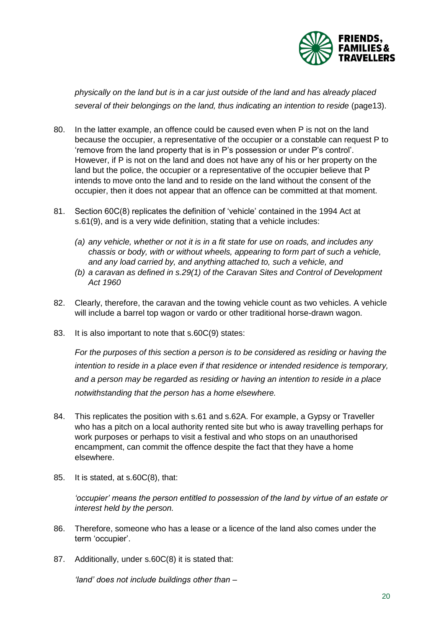

*physically on the land but is in a car just outside of the land and has already placed*  several of their belongings on the land, thus indicating an intention to reside (page13).

- 80. In the latter example, an offence could be caused even when P is not on the land because the occupier, a representative of the occupier or a constable can request P to 'remove from the land property that is in P's possession or under P's control'. However, if P is not on the land and does not have any of his or her property on the land but the police, the occupier or a representative of the occupier believe that P intends to move onto the land and to reside on the land without the consent of the occupier, then it does not appear that an offence can be committed at that moment.
- 81. Section 60C(8) replicates the definition of 'vehicle' contained in the 1994 Act at s.61(9), and is a very wide definition, stating that a vehicle includes:
	- *(a) any vehicle, whether or not it is in a fit state for use on roads, and includes any chassis or body, with or without wheels, appearing to form part of such a vehicle, and any load carried by, and anything attached to, such a vehicle, and*
	- *(b) a caravan as defined in s.29(1) of the Caravan Sites and Control of Development Act 1960*
- 82. Clearly, therefore, the caravan and the towing vehicle count as two vehicles. A vehicle will include a barrel top wagon or vardo or other traditional horse-drawn wagon.
- 83. It is also important to note that s.60C(9) states:

*For the purposes of this section a person is to be considered as residing or having the intention to reside in a place even if that residence or intended residence is temporary, and a person may be regarded as residing or having an intention to reside in a place notwithstanding that the person has a home elsewhere.* 

- 84. This replicates the position with s.61 and s.62A. For example, a Gypsy or Traveller who has a pitch on a local authority rented site but who is away travelling perhaps for work purposes or perhaps to visit a festival and who stops on an unauthorised encampment, can commit the offence despite the fact that they have a home elsewhere.
- 85. It is stated, at s.60C(8), that:

*'occupier' means the person entitled to possession of the land by virtue of an estate or interest held by the person.* 

- 86. Therefore, someone who has a lease or a licence of the land also comes under the term 'occupier'.
- 87. Additionally, under s.60C(8) it is stated that:

*'land' does not include buildings other than –*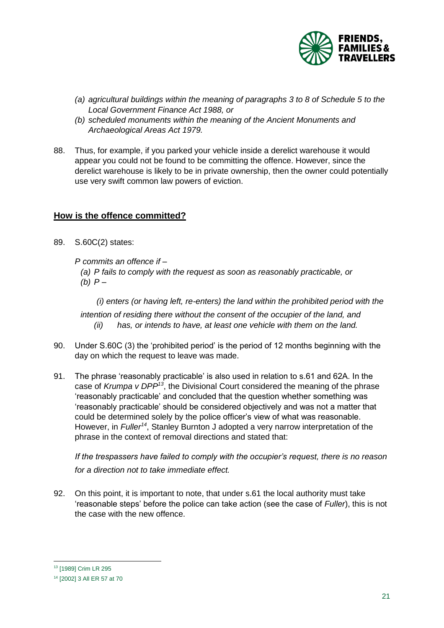

- *(a) agricultural buildings within the meaning of paragraphs 3 to 8 of Schedule 5 to the Local Government Finance Act 1988, or*
- *(b) scheduled monuments within the meaning of the Ancient Monuments and Archaeological Areas Act 1979.*
- 88. Thus, for example, if you parked your vehicle inside a derelict warehouse it would appear you could not be found to be committing the offence. However, since the derelict warehouse is likely to be in private ownership, then the owner could potentially use very swift common law powers of eviction.

#### <span id="page-20-0"></span>**How is the offence committed?**

- 89. S.60C(2) states:
	- *P commits an offence if –*
		- *(a) P fails to comply with the request as soon as reasonably practicable, or (b) P –*

 *(i) enters (or having left, re-enters) the land within the prohibited period with the intention of residing there without the consent of the occupier of the land, and (ii) has, or intends to have, at least one vehicle with them on the land.* 

- 90. Under S.60C (3) the 'prohibited period' is the period of 12 months beginning with the day on which the request to leave was made.
- 91. The phrase 'reasonably practicable' is also used in relation to s.61 and 62A. In the case of *Krumpa v DPP<sup>13</sup>*, the Divisional Court considered the meaning of the phrase 'reasonably practicable' and concluded that the question whether something was 'reasonably practicable' should be considered objectively and was not a matter that could be determined solely by the police officer's view of what was reasonable. However, in *Fuller<sup>14</sup>*, Stanley Burnton J adopted a very narrow interpretation of the phrase in the context of removal directions and stated that:

*If the trespassers have failed to comply with the occupier's request, there is no reason for a direction not to take immediate effect.*

92. On this point, it is important to note, that under s.61 the local authority must take 'reasonable steps' before the police can take action (see the case of *Fuller*), this is not the case with the new offence.

l

<sup>13</sup> [1989] Crim LR 295

<sup>14</sup> [2002] 3 All ER 57 at 70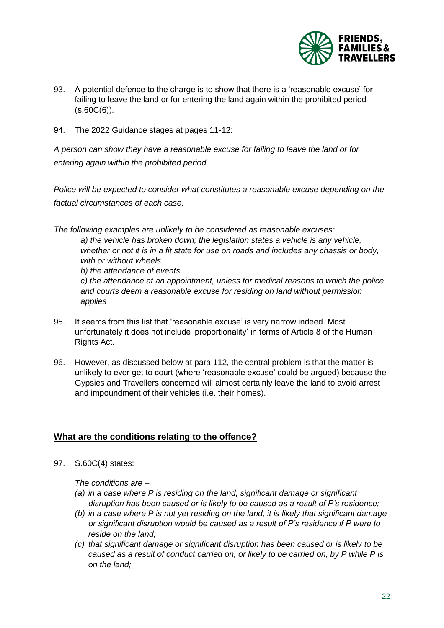

- 93. A potential defence to the charge is to show that there is a 'reasonable excuse' for failing to leave the land or for entering the land again within the prohibited period  $(S.60C(6)).$
- 94. The 2022 Guidance stages at pages 11-12:

*A person can show they have a reasonable excuse for failing to leave the land or for entering again within the prohibited period.*

*Police will be expected to consider what constitutes a reasonable excuse depending on the factual circumstances of each case,*

*The following examples are unlikely to be considered as reasonable excuses: a) the vehicle has broken down; the legislation states a vehicle is any vehicle, whether or not it is in a fit state for use on roads and includes any chassis or body, with or without wheels b) the attendance of events c) the attendance at an appointment, unless for medical reasons to which the police and courts deem a reasonable excuse for residing on land without permission applies*

- 95. It seems from this list that 'reasonable excuse' is very narrow indeed. Most unfortunately it does not include 'proportionality' in terms of Article 8 of the Human Rights Act.
- 96. However, as discussed below at para 112, the central problem is that the matter is unlikely to ever get to court (where 'reasonable excuse' could be argued) because the Gypsies and Travellers concerned will almost certainly leave the land to avoid arrest and impoundment of their vehicles (i.e. their homes).

#### <span id="page-21-0"></span>**What are the conditions relating to the offence?**

97. S.60C(4) states:

*The conditions are –*

- *(a) in a case where P is residing on the land, significant damage or significant disruption has been caused or is likely to be caused as a result of P's residence;*
- *(b) in a case where P is not yet residing on the land, it is likely that significant damage or significant disruption would be caused as a result of P's residence if P were to reside on the land;*
- *(c) that significant damage or significant disruption has been caused or is likely to be caused as a result of conduct carried on, or likely to be carried on, by P while P is on the land;*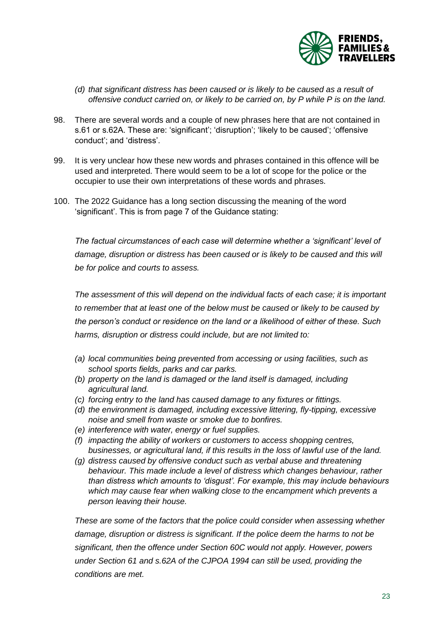

- *(d) that significant distress has been caused or is likely to be caused as a result of offensive conduct carried on, or likely to be carried on, by P while P is on the land.*
- 98. There are several words and a couple of new phrases here that are not contained in s.61 or s.62A. These are: 'significant'; 'disruption'; 'likely to be caused'; 'offensive conduct'; and 'distress'.
- 99. It is very unclear how these new words and phrases contained in this offence will be used and interpreted. There would seem to be a lot of scope for the police or the occupier to use their own interpretations of these words and phrases.
- 100. The 2022 Guidance has a long section discussing the meaning of the word 'significant'. This is from page 7 of the Guidance stating:

*The factual circumstances of each case will determine whether a 'significant' level of damage, disruption or distress has been caused or is likely to be caused and this will be for police and courts to assess.* 

*The assessment of this will depend on the individual facts of each case; it is important to remember that at least one of the below must be caused or likely to be caused by the person's conduct or residence on the land or a likelihood of either of these. Such harms, disruption or distress could include, but are not limited to:*

- *(a) local communities being prevented from accessing or using facilities, such as school sports fields, parks and car parks.*
- *(b) property on the land is damaged or the land itself is damaged, including agricultural land.*
- *(c) forcing entry to the land has caused damage to any fixtures or fittings.*
- *(d) the environment is damaged, including excessive littering, fly-tipping, excessive noise and smell from waste or smoke due to bonfires.*
- *(e) interference with water, energy or fuel supplies.*
- *(f) impacting the ability of workers or customers to access shopping centres, businesses, or agricultural land, if this results in the loss of lawful use of the land.*
- *(g) distress caused by offensive conduct such as verbal abuse and threatening behaviour. This made include a level of distress which changes behaviour, rather than distress which amounts to 'disgust'. For example, this may include behaviours which may cause fear when walking close to the encampment which prevents a person leaving their house.*

*These are some of the factors that the police could consider when assessing whether damage, disruption or distress is significant. If the police deem the harms to not be significant, then the offence under Section 60C would not apply. However, powers under Section 61 and s.62A of the CJPOA 1994 can still be used, providing the conditions are met.*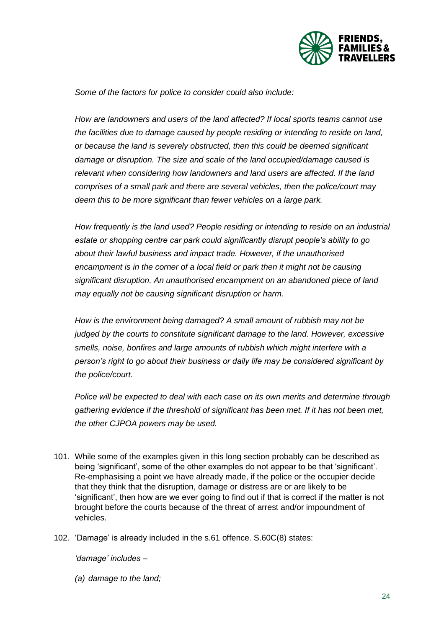

*Some of the factors for police to consider could also include:* 

*How are landowners and users of the land affected? If local sports teams cannot use the facilities due to damage caused by people residing or intending to reside on land, or because the land is severely obstructed, then this could be deemed significant damage or disruption. The size and scale of the land occupied/damage caused is relevant when considering how landowners and land users are affected. If the land comprises of a small park and there are several vehicles, then the police/court may deem this to be more significant than fewer vehicles on a large park.*

*How frequently is the land used? People residing or intending to reside on an industrial estate or shopping centre car park could significantly disrupt people's ability to go about their lawful business and impact trade. However, if the unauthorised encampment is in the corner of a local field or park then it might not be causing significant disruption. An unauthorised encampment on an abandoned piece of land may equally not be causing significant disruption or harm.* 

*How is the environment being damaged? A small amount of rubbish may not be judged by the courts to constitute significant damage to the land. However, excessive smells, noise, bonfires and large amounts of rubbish which might interfere with a person's right to go about their business or daily life may be considered significant by the police/court.* 

*Police will be expected to deal with each case on its own merits and determine through gathering evidence if the threshold of significant has been met. If it has not been met, the other CJPOA powers may be used.* 

- 101. While some of the examples given in this long section probably can be described as being 'significant', some of the other examples do not appear to be that 'significant'. Re-emphasising a point we have already made, if the police or the occupier decide that they think that the disruption, damage or distress are or are likely to be 'significant', then how are we ever going to find out if that is correct if the matter is not brought before the courts because of the threat of arrest and/or impoundment of vehicles.
- 102. 'Damage' is already included in the s.61 offence. S.60C(8) states:

*'damage' includes –*

*(a) damage to the land;*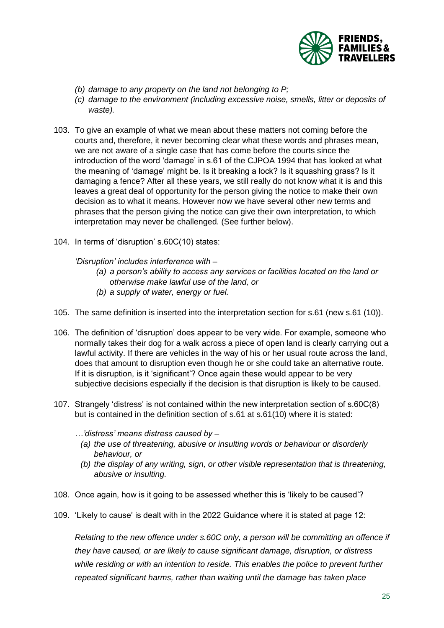

- *(b) damage to any property on the land not belonging to P;*
- *(c) damage to the environment (including excessive noise, smells, litter or deposits of waste).*
- 103. To give an example of what we mean about these matters not coming before the courts and, therefore, it never becoming clear what these words and phrases mean, we are not aware of a single case that has come before the courts since the introduction of the word 'damage' in s.61 of the CJPOA 1994 that has looked at what the meaning of 'damage' might be. Is it breaking a lock? Is it squashing grass? Is it damaging a fence? After all these years, we still really do not know what it is and this leaves a great deal of opportunity for the person giving the notice to make their own decision as to what it means. However now we have several other new terms and phrases that the person giving the notice can give their own interpretation, to which interpretation may never be challenged. (See further below).
- 104. In terms of 'disruption' s.60C(10) states:

#### *'Disruption' includes interference with –*

- *(a) a person's ability to access any services or facilities located on the land or otherwise make lawful use of the land, or*
- *(b) a supply of water, energy or fuel.*
- 105. The same definition is inserted into the interpretation section for s.61 (new s.61 (10)).
- 106. The definition of 'disruption' does appear to be very wide. For example, someone who normally takes their dog for a walk across a piece of open land is clearly carrying out a lawful activity. If there are vehicles in the way of his or her usual route across the land, does that amount to disruption even though he or she could take an alternative route. If it is disruption, is it 'significant'? Once again these would appear to be very subjective decisions especially if the decision is that disruption is likely to be caused.
- 107. Strangely 'distress' is not contained within the new interpretation section of s.60C(8) but is contained in the definition section of s.61 at s.61(10) where it is stated:
	- *…'distress' means distress caused by –*
		- *(a) the use of threatening, abusive or insulting words or behaviour or disorderly behaviour, or*
		- *(b) the display of any writing, sign, or other visible representation that is threatening, abusive or insulting.*
- 108. Once again, how is it going to be assessed whether this is 'likely to be caused'?
- 109. 'Likely to cause' is dealt with in the 2022 Guidance where it is stated at page 12:

*Relating to the new offence under s.60C only, a person will be committing an offence if they have caused, or are likely to cause significant damage, disruption, or distress while residing or with an intention to reside. This enables the police to prevent further repeated significant harms, rather than waiting until the damage has taken place*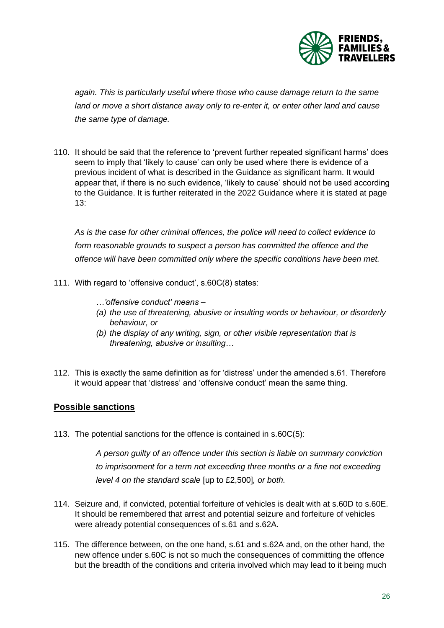

*again. This is particularly useful where those who cause damage return to the same land or move a short distance away only to re-enter it, or enter other land and cause the same type of damage.* 

110. It should be said that the reference to 'prevent further repeated significant harms' does seem to imply that 'likely to cause' can only be used where there is evidence of a previous incident of what is described in the Guidance as significant harm. It would appear that, if there is no such evidence, 'likely to cause' should not be used according to the Guidance. It is further reiterated in the 2022 Guidance where it is stated at page  $13<sup>2</sup>$ 

*As is the case for other criminal offences, the police will need to collect evidence to form reasonable grounds to suspect a person has committed the offence and the offence will have been committed only where the specific conditions have been met.* 

- 111. With regard to 'offensive conduct', s.60C(8) states:
	- *…'offensive conduct' means –*
	- *(a) the use of threatening, abusive or insulting words or behaviour, or disorderly behaviour, or*
	- *(b) the display of any writing, sign, or other visible representation that is threatening, abusive or insulting…*
- 112. This is exactly the same definition as for 'distress' under the amended s.61. Therefore it would appear that 'distress' and 'offensive conduct' mean the same thing.

#### <span id="page-25-0"></span>**Possible sanctions**

113. The potential sanctions for the offence is contained in s.60C(5):

*A person guilty of an offence under this section is liable on summary conviction to imprisonment for a term not exceeding three months or a fine not exceeding level 4 on the standard scale* [up to £2,500]*, or both.*

- 114. Seizure and, if convicted, potential forfeiture of vehicles is dealt with at s.60D to s.60E. It should be remembered that arrest and potential seizure and forfeiture of vehicles were already potential consequences of s.61 and s.62A.
- 115. The difference between, on the one hand, s.61 and s.62A and, on the other hand, the new offence under s.60C is not so much the consequences of committing the offence but the breadth of the conditions and criteria involved which may lead to it being much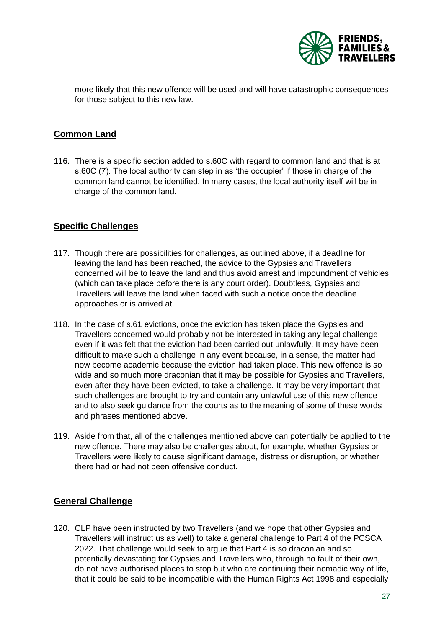

more likely that this new offence will be used and will have catastrophic consequences for those subject to this new law.

#### <span id="page-26-0"></span>**Common Land**

116. There is a specific section added to s.60C with regard to common land and that is at s.60C (7). The local authority can step in as 'the occupier' if those in charge of the common land cannot be identified. In many cases, the local authority itself will be in charge of the common land.

#### <span id="page-26-1"></span>**Specific Challenges**

- 117. Though there are possibilities for challenges, as outlined above, if a deadline for leaving the land has been reached, the advice to the Gypsies and Travellers concerned will be to leave the land and thus avoid arrest and impoundment of vehicles (which can take place before there is any court order). Doubtless, Gypsies and Travellers will leave the land when faced with such a notice once the deadline approaches or is arrived at.
- 118. In the case of s.61 evictions, once the eviction has taken place the Gypsies and Travellers concerned would probably not be interested in taking any legal challenge even if it was felt that the eviction had been carried out unlawfully. It may have been difficult to make such a challenge in any event because, in a sense, the matter had now become academic because the eviction had taken place. This new offence is so wide and so much more draconian that it may be possible for Gypsies and Travellers, even after they have been evicted, to take a challenge. It may be very important that such challenges are brought to try and contain any unlawful use of this new offence and to also seek guidance from the courts as to the meaning of some of these words and phrases mentioned above.
- 119. Aside from that, all of the challenges mentioned above can potentially be applied to the new offence. There may also be challenges about, for example, whether Gypsies or Travellers were likely to cause significant damage, distress or disruption, or whether there had or had not been offensive conduct.

#### <span id="page-26-2"></span>**General Challenge**

120. CLP have been instructed by two Travellers (and we hope that other Gypsies and Travellers will instruct us as well) to take a general challenge to Part 4 of the PCSCA 2022. That challenge would seek to argue that Part 4 is so draconian and so potentially devastating for Gypsies and Travellers who, through no fault of their own, do not have authorised places to stop but who are continuing their nomadic way of life, that it could be said to be incompatible with the Human Rights Act 1998 and especially